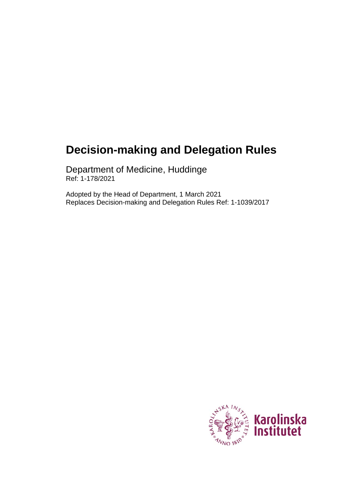# **Decision-making and Delegation Rules**

Department of Medicine, Huddinge Ref: 1-178/2021

Adopted by the Head of Department, 1 March 2021 Replaces Decision-making and Delegation Rules Ref: 1-1039/2017

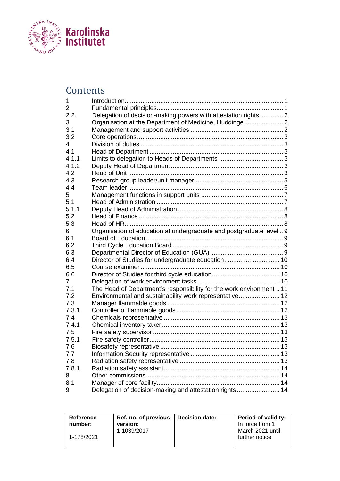

# **Contents**

| 1     |                                                                      |  |
|-------|----------------------------------------------------------------------|--|
| 2     |                                                                      |  |
| 2.2.  | Delegation of decision-making powers with attestation rights  2      |  |
| 3     | Organisation at the Department of Medicine, Huddinge                 |  |
| 3.1   |                                                                      |  |
| 3.2   |                                                                      |  |
| 4     |                                                                      |  |
| 4.1   |                                                                      |  |
| 4.1.1 |                                                                      |  |
| 4.1.2 |                                                                      |  |
| 4.2   |                                                                      |  |
| 4.3   |                                                                      |  |
| 4.4   |                                                                      |  |
| 5     |                                                                      |  |
| 5.1   |                                                                      |  |
| 5.1.1 |                                                                      |  |
| 5.2   |                                                                      |  |
| 5.3   |                                                                      |  |
| 6     | Organisation of education at undergraduate and postgraduate level  9 |  |
| 6.1   |                                                                      |  |
| 6.2   |                                                                      |  |
| 6.3   |                                                                      |  |
| 6.4   | Director of Studies for undergraduate education 10                   |  |
| 6.5   |                                                                      |  |
| 6.6   |                                                                      |  |
| 7     |                                                                      |  |
| 7.1   | The Head of Department's responsibility for the work environment  11 |  |
| 7.2   | Environmental and sustainability work representative 12              |  |
| 7.3   |                                                                      |  |
| 7.3.1 |                                                                      |  |
| 7.4   |                                                                      |  |
| 7.4.1 |                                                                      |  |
| 7.5   |                                                                      |  |
| 7.5.1 |                                                                      |  |
| 7.6   |                                                                      |  |
| 7.7   |                                                                      |  |
| 7.8   |                                                                      |  |
| 7.8.1 |                                                                      |  |
| 8     |                                                                      |  |
| 8.1   |                                                                      |  |
| 9     | Delegation of decision-making and attestation rights 14              |  |

| Reference<br>number: | Ref. no. of previous<br>version: | <b>Decision date:</b> | <b>Period of validity:</b><br>In force from 1 |
|----------------------|----------------------------------|-----------------------|-----------------------------------------------|
| 1-178/2021           | 1-1039/2017                      |                       | March 2021 until<br>further notice            |
|                      |                                  |                       |                                               |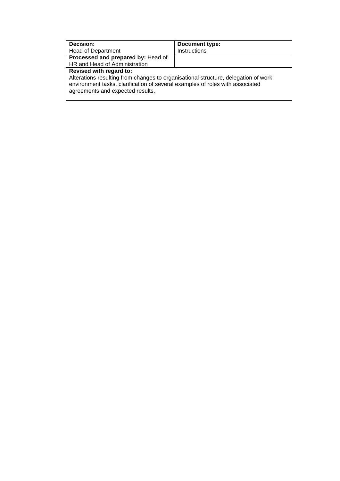| Decision:                                                                                                                                                                                                                                 | Document type: |  |  |  |
|-------------------------------------------------------------------------------------------------------------------------------------------------------------------------------------------------------------------------------------------|----------------|--|--|--|
| <b>Head of Department</b>                                                                                                                                                                                                                 | Instructions   |  |  |  |
| Processed and prepared by: Head of                                                                                                                                                                                                        |                |  |  |  |
| HR and Head of Administration                                                                                                                                                                                                             |                |  |  |  |
| <b>Revised with regard to:</b><br>Alterations resulting from changes to organisational structure, delegation of work<br>environment tasks, clarification of several examples of roles with associated<br>agreements and expected results. |                |  |  |  |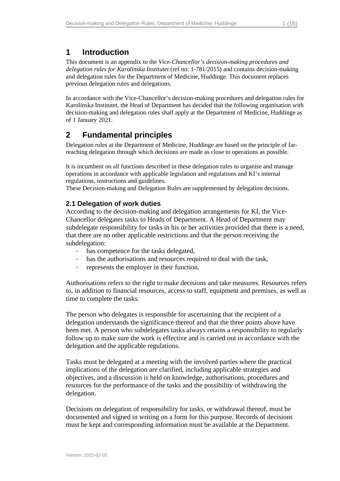# <span id="page-3-0"></span>**1 Introduction**

This document is an appendix to the *Vice-Chancellor's decision-making procedures and delegation rules for Karolinska Institutet* (ref no: 1-781/2015) and contains decision-making and delegation rules for the Department of Medicine, Huddinge. This document replaces previous delegation rules and delegations.

In accordance with the Vice-Chancellor's decision-making procedures and delegation rules for Karolinska Institutet, the Head of Department has decided that the following organisation with decision-making and delegation rules shall apply at the Department of Medicine, Huddinge as of 1 January 2021.

# <span id="page-3-1"></span>**2 Fundamental principles**

Delegation rules at the Department of Medicine, Huddinge are based on the principle of farreaching delegation through which decisions are made as close to operations as possible.

It is incumbent on all functions described in these delegation rules to organise and manage operations in accordance with applicable legislation and regulations and KI's internal regulations, instructions and guidelines.

These Decision-making and Delegation Rules are supplemented by delegation decisions.

### **2.1 Delegation of work duties**

According to the decision-making and delegation arrangements for KI, the Vice-Chancellor delegates tasks to Heads of Department. A Head of Department may subdelegate responsibility for tasks in his or her activities provided that there is a need, that there are no other applicable restrictions and that the person receiving the subdelegation:

- has competence for the tasks delegated,
- has the authorisations and resources required to deal with the task,
- represents the employer in their function.

Authorisations refers to the right to make decisions and take measures. Resources refers to, in addition to financial resources, access to staff, equipment and premises, as well as time to complete the tasks.

The person who delegates is responsible for ascertaining that the recipient of a delegation understands the significance thereof and that the three points above have been met. A person who subdelegates tasks always retains a responsibility to regularly follow up to make sure the work is effective and is carried out in accordance with the delegation and the applicable regulations.

Tasks must be delegated at a meeting with the involved parties where the practical implications of the delegation are clarified, including applicable strategies and objectives, and a discussion is held on knowledge, authorisations, procedures and resources for the performance of the tasks and the possibility of withdrawing the delegation.

Decisions on delegation of responsibility for tasks, or withdrawal thereof, must be documented and signed in writing on a form for this purpose. Records of decisions must be kept and corresponding information must be available at the Department.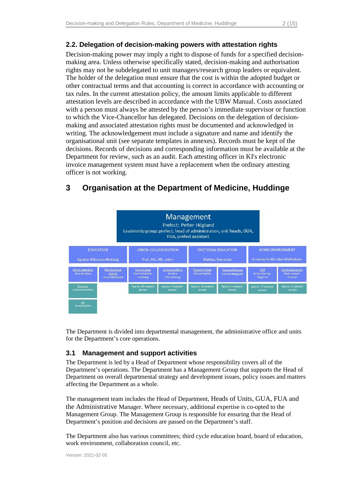# <span id="page-4-0"></span>**2.2. Delegation of decision-making powers with attestation rights**

Decision-making power may imply a right to dispose of funds for a specified decisionmaking area. Unless otherwise specifically stated, decision-making and authorisation rights may not be subdelegated to unit managers/research group leaders or equivalent. The holder of the delegation must ensure that the cost is within the adopted budget or other contractual terms and that accounting is correct in accordance with accounting or tax rules. In the current attestation policy, the amount limits applicable to different attestation levels are described in accordance with the UBW Manual. Costs associated with a person must always be attested by the person's immediate supervisor or function to which the Vice-Chancellor has delegated. Decisions on the delegation of decisionmaking and associated attestation rights must be documented and acknowledged in writing. The acknowledgement must include a signature and name and identify the organisational unit (see separate templates in annexes). Records must be kept of the decisions. Records of decisions and corresponding information must be available at the Department for review, such as an audit. Each attesting officer in KI's electronic invoice management system must have a replacement when the ordinary attesting officer is not working.

# <span id="page-4-1"></span>**3 Organisation at the Department of Medicine, Huddinge**



The Department is divided into departmental management, the administrative office and units for the Department's core operations.

# <span id="page-4-2"></span>**3.1 Management and support activities**

The Department is led by a Head of Department whose responsibility covers all of the Department's operations. The Department has a Management Group that supports the Head of Department on overall departmental strategy and development issues, policy issues and matters affecting the Department as a whole.

The management team includes the Head of Department, Heads of Units, GUA, FUA and the Administrative Manager. Where necessary, additional expertise is co-opted to the Management Group. The Management Group is responsible for ensuring that the Head of Department's position and decisions are passed on the Department's staff.

The Department also has various committees; third cycle education board, board of education, work environment, collaboration council, etc.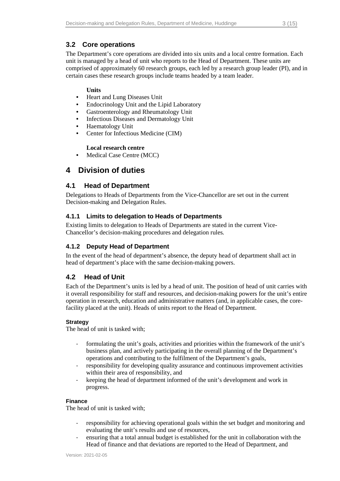# <span id="page-5-0"></span>**3.2 Core operations**

The Department's core operations are divided into six units and a local centre formation. Each unit is managed by a head of unit who reports to the Head of Department. These units are comprised of approximately 60 research groups, each led by a research group leader (PI), and in certain cases these research groups include teams headed by a team leader.

#### **Units**

- Heart and Lung Diseases Unit
- Endocrinology Unit and the Lipid Laboratory
- Gastroenterology and Rheumatology Unit
- Infectious Diseases and Dermatology Unit
- Haematology Unit
- Center for Infectious Medicine (CIM)

# **Local research centre**

<span id="page-5-1"></span>• Medical Case Centre (MCC)

# **4 Division of duties**

# <span id="page-5-2"></span>**4.1 Head of Department**

Delegations to Heads of Departments from the Vice-Chancellor are set out in the current Decision-making and Delegation Rules.

### <span id="page-5-3"></span>**4.1.1 Limits to delegation to Heads of Departments**

Existing limits to delegation to Heads of Departments are stated in the current Vice-Chancellor's decision-making procedures and delegation rules*.*

# <span id="page-5-4"></span>**4.1.2 Deputy Head of Department**

In the event of the head of department's absence, the deputy head of department shall act in head of department's place with the same decision-making powers.

# <span id="page-5-5"></span>**4.2 Head of Unit**

Each of the Department's units is led by a head of unit. The position of head of unit carries with it overall responsibility for staff and resources, and decision-making powers for the unit's entire operation in research, education and administrative matters (and, in applicable cases, the corefacility placed at the unit). Heads of units report to the Head of Department.

#### **Strategy**

The head of unit is tasked with;

- formulating the unit's goals, activities and priorities within the framework of the unit's business plan, and actively participating in the overall planning of the Department's operations and contributing to the fulfilment of the Department's goals,
- responsibility for developing quality assurance and continuous improvement activities within their area of responsibility, and
- keeping the head of department informed of the unit's development and work in progress.

#### **Finance**

The head of unit is tasked with;

- responsibility for achieving operational goals within the set budget and monitoring and evaluating the unit's results and use of resources,
- ensuring that a total annual budget is established for the unit in collaboration with the Head of finance and that deviations are reported to the Head of Department, and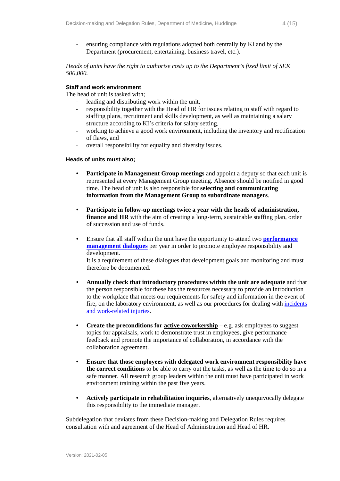- ensuring compliance with regulations adopted both centrally by KI and by the Department (procurement, entertaining, business travel, etc.).

*Heads of units have the right to authorise costs up to the Department's fixed limit of SEK 500,000.*

### **Staff and work environment**

The head of unit is tasked with;

- leading and distributing work within the unit,
- responsibility together with the Head of HR for issues relating to staff with regard to staffing plans, recruitment and skills development, as well as maintaining a salary structure according to KI's criteria for salary setting,
- working to achieve a good work environment, including the inventory and rectification of flaws, and
- overall responsibility for equality and diversity issues.

#### **Heads of units must also;**

- **Participate in Management Group meetings** and appoint a deputy so that each unit is represented at every Management Group meeting. Absence should be notified in good time. The head of unit is also responsible for **selecting and communicating information from the Management Group to subordinate managers**.
- **Participate in follow-up meetings twice a year with the heads of administration, finance and HR** with the aim of creating a long-term, sustainable staffing plan, order of succession and use of funds.
- Ensure that all staff within the unit have the opportunity to attend two **[performance](http://ki.se/medarbetare/medarbetarsamtal)  [management dialogues](http://ki.se/medarbetare/medarbetarsamtal)** per year in order to promote employee responsibility and development.

It is a requirement of these dialogues that development goals and monitoring and must therefore be documented.

- **Annually check that introductory procedures within the unit are adequate** and that the person responsible for these has the resources necessary to provide an introduction to the workplace that meets our requirements for safety and information in the event of fire, on the laboratory environment, as well as our procedures for dealing with [incidents](http://ki.se/medarbetare/tillbud-och-arbetsskador)  [and work-related injuries.](http://ki.se/medarbetare/tillbud-och-arbetsskador)
- **Create the preconditions for active coworkership** e.g. ask employees to suggest topics for appraisals, work to demonstrate trust in employees, give performance feedback and promote the importance of collaboration, in accordance with the collaboration agreement.
- **Ensure that those employees with delegated work environment responsibility have the correct conditions** to be able to carry out the tasks, as well as the time to do so in a safe manner. All research group leaders within the unit must have participated in work environment training within the past five years.
- **Actively participate in rehabilitation inquiries**, alternatively unequivocally delegate this responsibility to the immediate manager.

Subdelegation that deviates from these Decision-making and Delegation Rules requires consultation with and agreement of the Head of Administration and Head of HR.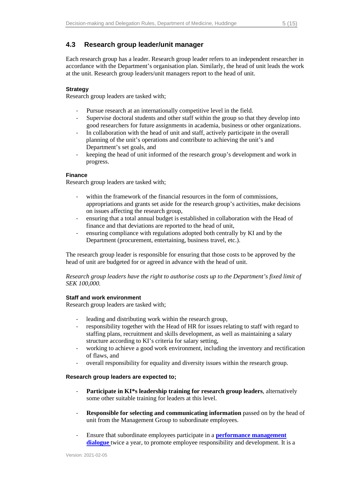### <span id="page-7-0"></span>**4.3 Research group leader/unit manager**

Each research group has a leader. Research group leader refers to an independent researcher in accordance with the Department's organisation plan. Similarly, the head of unit leads the work at the unit. Research group leaders/unit managers report to the head of unit.

#### **Strategy**

Research group leaders are tasked with;

- Pursue research at an internationally competitive level in the field.
- Supervise doctoral students and other staff within the group so that they develop into good researchers for future assignments in academia, business or other organizations.
- In collaboration with the head of unit and staff, actively participate in the overall planning of the unit's operations and contribute to achieving the unit's and Department's set goals, and
- keeping the head of unit informed of the research group's development and work in progress.

#### **Finance**

Research group leaders are tasked with;

- within the framework of the financial resources in the form of commissions, appropriations and grants set aside for the research group's activities, make decisions on issues affecting the research group,
- ensuring that a total annual budget is established in collaboration with the Head of finance and that deviations are reported to the head of unit,
- ensuring compliance with regulations adopted both centrally by KI and by the Department (procurement, entertaining, business travel, etc.).

The research group leader is responsible for ensuring that those costs to be approved by the head of unit are budgeted for or agreed in advance with the head of unit.

*Research group leaders have the right to authorise costs up to the Department's fixed limit of SEK 100,000.*

#### **Staff and work environment**

Research group leaders are tasked with;

- leading and distributing work within the research group,
- responsibility together with the Head of HR for issues relating to staff with regard to staffing plans, recruitment and skills development, as well as maintaining a salary structure according to KI's criteria for salary setting,
- working to achieve a good work environment, including the inventory and rectification of flaws, and
- overall responsibility for equality and diversity issues within the research group.

#### **Research group leaders are expected to;**

- **Participate in KI\*s leadership training for research group leaders**, alternatively some other suitable training for leaders at this level.
- **Responsible for selecting and communicating information** passed on by the head of unit from the Management Group to subordinate employees.
- Ensure that subordinate employees participate in a **[performance management](http://ki.se/medarbetare/medarbetarsamtal)  [dialogue](http://ki.se/medarbetare/medarbetarsamtal)** twice a year, to promote employee responsibility and development. It is a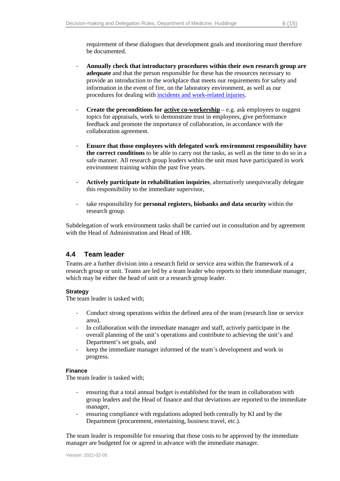requirement of these dialogues that development goals and monitoring must therefore be documented.

- **Annually check that introductory procedures within their own research group are adequate** and that the person responsible for these has the resources necessary to provide an introduction to the workplace that meets our requirements for safety and information in the event of fire, on the laboratory environment, as well as our procedures for dealing with [incidents and work-related injuries.](http://ki.se/medarbetare/tillbud-och-arbetsskador)
- **Create the preconditions for active co-workership** e.g. ask employees to suggest topics for appraisals, work to demonstrate trust in employees, give performance feedback and promote the importance of collaboration, in accordance with the collaboration agreement.
- **Ensure that those employees with delegated work environment responsibility have the correct conditions** to be able to carry out the tasks, as well as the time to do so in a safe manner. All research group leaders within the unit must have participated in work environment training within the past five years.
- **Actively participate in rehabilitation inquiries**, alternatively unequivocally delegate this responsibility to the immediate supervisor,
- take responsibility for **personal registers, biobanks and data security** within the research group.

Subdelegation of work environment tasks shall be carried out in consultation and by agreement with the Head of Administration and Head of HR.

#### <span id="page-8-0"></span>**4.4 Team leader**

Teams are a further division into a research field or service area within the framework of a research group or unit. Teams are led by a team leader who reports to their immediate manager, which may be either the head of unit or a research group leader.

#### **Strategy**

The team leader is tasked with;

- Conduct strong operations within the defined area of the team (research line or service area).
- In collaboration with the immediate manager and staff, actively participate in the overall planning of the unit's operations and contribute to achieving the unit's and Department's set goals, and
- keep the immediate manager informed of the team's development and work in progress.

#### **Finance**

The team leader is tasked with;

- ensuring that a total annual budget is established for the team in collaboration with group leaders and the Head of finance and that deviations are reported to the immediate manager,
- ensuring compliance with regulations adopted both centrally by KI and by the Department (procurement, entertaining, business travel, etc.).

The team leader is responsible for ensuring that those costs to be approved by the immediate manager are budgeted for or agreed in advance with the immediate manager.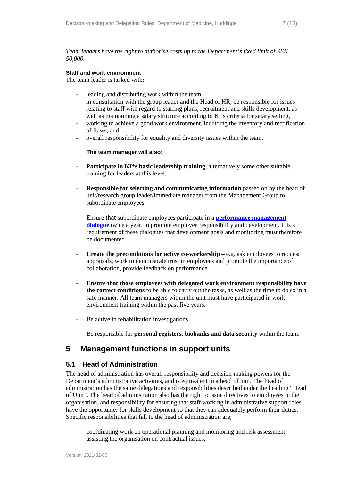#### *Team leaders have the right to authorise costs up to the Department's fixed limit of SEK 50,000.*

#### **Staff and work environment**

The team leader is tasked with;

- leading and distributing work within the team,
- in consultation with the group leader and the Head of HR, be responsible for issues relating to staff with regard to staffing plans, recruitment and skills development, as well as maintaining a salary structure according to KI's criteria for salary setting,
- working to achieve a good work environment, including the inventory and rectification of flaws, and
- overall responsibility for equality and diversity issues within the team.

#### **The team manager will also;**

- **Participate in KI\*s basic leadership training**, alternatively some other suitable training for leaders at this level.
- **Responsible for selecting and communicating information** passed on by the head of unit/research group leader/immediate manager from the Management Group to subordinate employees.
- Ensure that subordinate employees participate in a **[performance management](http://ki.se/medarbetare/medarbetarsamtal)  [dialogue](http://ki.se/medarbetare/medarbetarsamtal)** twice a year, to promote employee responsibility and development. It is a requirement of these dialogues that development goals and monitoring must therefore be documented.
- **Create the preconditions for active co-workership** e.g. ask employees to request appraisals, work to demonstrate trust in employees and promote the importance of collaboration, provide feedback on performance.
- **Ensure that those employees with delegated work environment responsibility have the correct conditions** to be able to carry out the tasks, as well as the time to do so in a safe manner. All team managers within the unit must have participated in work environment training within the past five years.
- Be active in rehabilitation investigations.
- <span id="page-9-0"></span>- Be responsible for **personal registers, biobanks and data security** within the team.

# **5 Management functions in support units**

#### <span id="page-9-1"></span>**5.1 Head of Administration**

The head of administration has overall responsibility and decision-making powers for the Department's administrative activities, and is equivalent to a head of unit. The head of administration has the same delegations and responsibilities described under the heading "Head of Unit". The head of administration also has the right to issue directives to employees in the organisation, and responsibility for ensuring that staff working in administrative support roles have the opportunity for skills development so that they can adequately perform their duties. Specific responsibilities that fall to the head of administration are:

- coordinating work on operational planning and monitoring and risk assessment,
- assisting the organisation on contractual issues,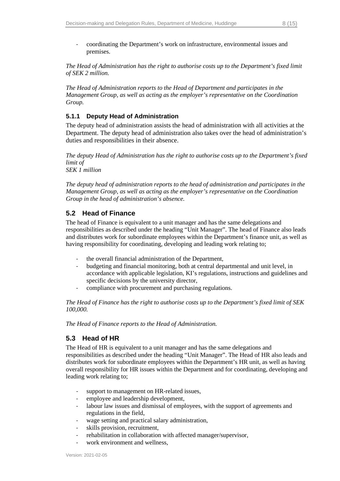- coordinating the Department's work on infrastructure, environmental issues and premises.

*The Head of Administration has the right to authorise costs up to the Department's fixed limit of SEK 2 million.*

*The Head of Administration reports to the Head of Department and participates in the Management Group, as well as acting as the employer's representative on the Coordination Group.*

#### <span id="page-10-0"></span>**5.1.1 Deputy Head of Administration**

The deputy head of administration assists the head of administration with all activities at the Department. The deputy head of administration also takes over the head of administration's duties and responsibilities in their absence.

*The deputy Head of Administration has the right to authorise costs up to the Department's fixed limit of SEK 1 million*

*The deputy head of administration reports to the head of administration and participates in the Management Group, as well as acting as the employer's representative on the Coordination Group in the head of administration's absence.* 

# <span id="page-10-1"></span>**5.2 Head of Finance**

The head of Finance is equivalent to a unit manager and has the same delegations and responsibilities as described under the heading "Unit Manager". The head of Finance also leads and distributes work for subordinate employees within the Department's finance unit, as well as having responsibility for coordinating, developing and leading work relating to;

- the overall financial administration of the Department,
- budgeting and financial monitoring, both at central departmental and unit level, in accordance with applicable legislation, KI's regulations, instructions and guidelines and specific decisions by the university director,
- compliance with procurement and purchasing regulations.

*The Head of Finance has the right to authorise costs up to the Department's fixed limit of SEK 100,000.*

<span id="page-10-2"></span>*The Head of Finance reports to the Head of Administration.*

# **5.3 Head of HR**

The Head of HR is equivalent to a unit manager and has the same delegations and responsibilities as described under the heading "Unit Manager". The Head of HR also leads and distributes work for subordinate employees within the Department's HR unit, as well as having overall responsibility for HR issues within the Department and for coordinating, developing and leading work relating to;

- support to management on HR-related issues,
- employee and leadership development,
- labour law issues and dismissal of employees, with the support of agreements and regulations in the field,
- wage setting and practical salary administration,
- skills provision, recruitment,
- rehabilitation in collaboration with affected manager/supervisor,
- work environment and wellness.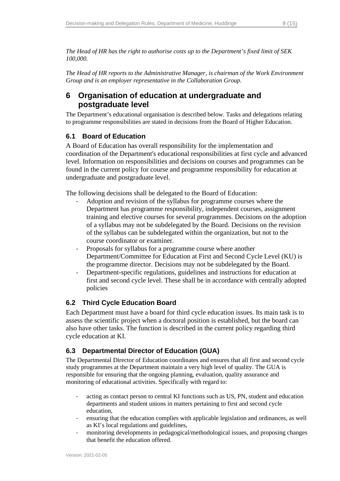*The Head of HR has the right to authorise costs up to the Department's fixed limit of SEK 100,000.*

*The Head of HR reports to the Administrative Manager, is chairman of the Work Environment Group and is an employer representative in the Collaboration Group.* 

# <span id="page-11-0"></span>**6 Organisation of education at undergraduate and postgraduate level**

The Department's educational organisation is described below. Tasks and delegations relating to programme responsibilities are stated in decisions from the Board of Higher Education.

# <span id="page-11-1"></span>**6.1 Board of Education**

A Board of Education has overall responsibility for the implementation and coordination of the Department's educational responsibilities at first cycle and advanced level. Information on responsibilities and decisions on courses and programmes can be found in the current policy for course and programme responsibility for education at undergraduate and postgraduate level.

The following decisions shall be delegated to the Board of Education:

- Adoption and revision of the syllabus for programme courses where the Department has programme responsibility, independent courses, assignment training and elective courses for several programmes. Decisions on the adoption of a syllabus may not be subdelegated by the Board. Decisions on the revision of the syllabus can be subdelegated within the organization, but not to the course coordinator or examiner.
- Proposals for syllabus for a programme course where another Department/Committee for Education at First and Second Cycle Level (KU) is the programme director. Decisions may not be subdelegated by the Board.
- Department-specific regulations, guidelines and instructions for education at first and second cycle level. These shall be in accordance with centrally adopted policies

# <span id="page-11-2"></span>**6.2 Third Cycle Education Board**

Each Department must have a board for third cycle education issues. Its main task is to assess the scientific project when a doctoral position is established, but the board can also have other tasks. The function is described in the current policy regarding third cycle education at KI.

# <span id="page-11-3"></span>**6.3 Departmental Director of Education (GUA)**

The Departmental Director of Education coordinates and ensures that all first and second cycle study programmes at the Department maintain a very high level of quality. The GUA is responsible for ensuring that the ongoing planning, evaluation, quality assurance and monitoring of educational activities. Specifically with regard to:

- acting as contact person to central KI functions such as US, PN, student and education departments and student unions in matters pertaining to first and second cycle education,
- ensuring that the education complies with applicable legislation and ordinances, as well as KI's local regulations and guidelines,
- monitoring developments in pedagogical/methodological issues, and proposing changes that benefit the education offered.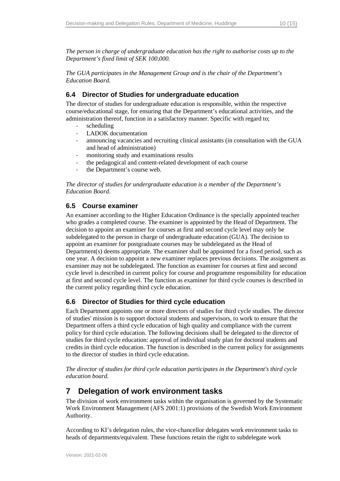*The person in charge of undergraduate education has the right to authorise costs up to the Department's fixed limit of SEK 100,000.*

*The GUA participates in the Management Group and is the chair of the Department's Education Board.*

# <span id="page-12-0"></span>**6.4 Director of Studies for undergraduate education**

The director of studies for undergraduate education is responsible, within the respective course/educational stage, for ensuring that the Department's educational activities, and the administration thereof, function in a satisfactory manner. Specific with regard to;

- scheduling
- LADOK documentation
- announcing vacancies and recruiting clinical assistants (in consultation with the GUA and head of administration)
- monitoring study and examinations results
- the pedagogical and content-related development of each course
- the Department's course web.

*The director of studies for undergraduate education is a member of the Department's Education Board.*

# <span id="page-12-1"></span>**6.5 Course examiner**

An examiner according to the Higher Education Ordinance is the specially appointed teacher who grades a completed course. The examiner is appointed by the Head of Department. The decision to appoint an examiner for courses at first and second cycle level may only be subdelegated to the person in charge of undergraduate education (GUA). The decision to appoint an examiner for postgraduate courses may be subdelegated as the Head of Department(s) deems appropriate. The examiner shall be appointed for a fixed period, such as one year. A decision to appoint a new examiner replaces previous decisions. The assignment as examiner may not be subdelegated. The function as examiner for courses at first and second cycle level is described in current policy for course and programme responsibility for education at first and second cycle level. The function as examiner for third cycle courses is described in the current policy regarding third cycle education.

# <span id="page-12-2"></span>**6.6 Director of Studies for third cycle education**

Each Department appoints one or more directors of studies for third cycle studies. The director of studies' mission is to support doctoral students and supervisors, to work to ensure that the Department offers a third cycle education of high quality and compliance with the current policy for third cycle education. The following decisions shall be delegated to the director of studies for third cycle education: approval of individual study plan for doctoral students and credits in third cycle education. The function is described in the current policy for assignments to the director of studies in third cycle education.

*The director of studies for third cycle education participates in the Department's third cycle education board.*

# <span id="page-12-3"></span>**7 Delegation of work environment tasks**

The division of work environment tasks within the organisation is governed by the Systematic Work Environment Management (AFS 2001:1) provisions of the Swedish Work Environment Authority.

According to KI's delegation rules, the vice-chancellor delegates work environment tasks to heads of departments/equivalent. These functions retain the right to subdelegate work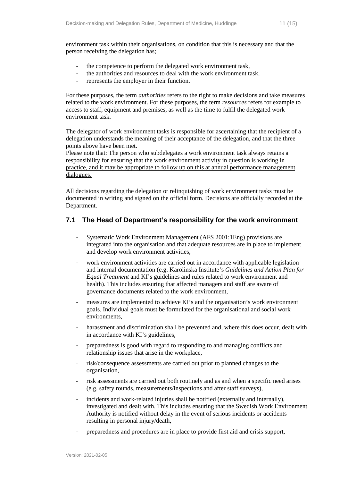environment task within their organisations, on condition that this is necessary and that the person receiving the delegation has;

- the competence to perform the delegated work environment task,
- the authorities and resources to deal with the work environment task,
- represents the employer in their function.

For these purposes, the term *authorities* refers to the right to make decisions and take measures related to the work environment. For these purposes, the term *resources* refers for example to access to staff, equipment and premises, as well as the time to fulfil the delegated work environment task.

The delegator of work environment tasks is responsible for ascertaining that the recipient of a delegation understands the meaning of their acceptance of the delegation, and that the three points above have been met.

Please note that: The person who subdelegates a work environment task always retains a responsibility for ensuring that the work environment activity in question is working in practice, and it may be appropriate to follow up on this at annual performance management dialogues.

All decisions regarding the delegation or relinquishing of work environment tasks must be documented in writing and signed on the official form. Decisions are officially recorded at the Department.

#### <span id="page-13-0"></span>**7.1 The Head of Department's responsibility for the work environment**

- Systematic Work Environment Management (AFS 2001:1Eng) provisions are integrated into the organisation and that adequate resources are in place to implement and develop work environment activities,
- work environment activities are carried out in accordance with applicable legislation and internal documentation (e.g. Karolinska Institute's *Guidelines and Action Plan for Equal Treatment* and KI's guidelines and rules related to work environment and health). This includes ensuring that affected managers and staff are aware of governance documents related to the work environment,
- measures are implemented to achieve KI's and the organisation's work environment goals. Individual goals must be formulated for the organisational and social work environments,
- harassment and discrimination shall be prevented and, where this does occur, dealt with in accordance with KI's guidelines,
- preparedness is good with regard to responding to and managing conflicts and relationship issues that arise in the workplace,
- risk/consequence assessments are carried out prior to planned changes to the organisation,
- risk assessments are carried out both routinely and as and when a specific need arises (e.g. safety rounds, measurements/inspections and after staff surveys),
- incidents and work-related injuries shall be notified (externally and internally), investigated and dealt with. This includes ensuring that the Swedish Work Environment Authority is notified without delay in the event of serious incidents or accidents resulting in personal injury/death,
- preparedness and procedures are in place to provide first aid and crisis support,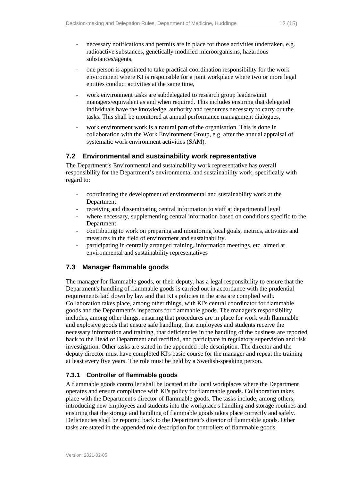- necessary notifications and permits are in place for those activities undertaken, e.g. radioactive substances, genetically modified microorganisms, hazardous substances/agents,
- one person is appointed to take practical coordination responsibility for the work environment where KI is responsible for a joint workplace where two or more legal entities conduct activities at the same time,
- work environment tasks are subdelegated to research group leaders/unit managers/equivalent as and when required. This includes ensuring that delegated individuals have the knowledge, authority and resources necessary to carry out the tasks. This shall be monitored at annual performance management dialogues,
- work environment work is a natural part of the organisation. This is done in collaboration with the Work Environment Group, e.g. after the annual appraisal of systematic work environment activities (SAM).

### <span id="page-14-0"></span>**7.2 Environmental and sustainability work representative**

The Department's Environmental and sustainability work representative has overall responsibility for the Department's environmental and sustainability work, specifically with regard to:

- coordinating the development of environmental and sustainability work at the Department
- receiving and disseminating central information to staff at departmental level
- where necessary, supplementing central information based on conditions specific to the Department
- contributing to work on preparing and monitoring local goals, metrics, activities and measures in the field of environment and sustainability.
- participating in centrally arranged training, information meetings, etc. aimed at environmental and sustainability representatives

# <span id="page-14-1"></span>**7.3 Manager flammable goods**

The manager for flammable goods, or their deputy, has a legal responsibility to ensure that the Department's handling of flammable goods is carried out in accordance with the prudential requirements laid down by law and that KI's policies in the area are complied with. Collaboration takes place, among other things, with KI's central coordinator for flammable goods and the Department's inspectors for flammable goods. The manager's responsibility includes, among other things, ensuring that procedures are in place for work with flammable and explosive goods that ensure safe handling, that employees and students receive the necessary information and training, that deficiencies in the handling of the business are reported back to the Head of Department and rectified, and participate in regulatory supervision and risk investigation. Other tasks are stated in the appended role description. The director and the deputy director must have completed KI's basic course for the manager and repeat the training at least every five years. The role must be held by a Swedish-speaking person.

# <span id="page-14-2"></span>**7.3.1 Controller of flammable goods**

A flammable goods controller shall be located at the local workplaces where the Department operates and ensure compliance with KI's policy for flammable goods. Collaboration takes place with the Department's director of flammable goods. The tasks include, among others, introducing new employees and students into the workplace's handling and storage routines and ensuring that the storage and handling of flammable goods takes place correctly and safely. Deficiencies shall be reported back to the Department's director of flammable goods. Other tasks are stated in the appended role description for controllers of flammable goods.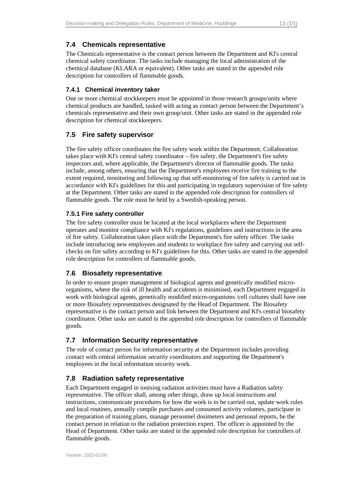# <span id="page-15-0"></span>**7.4 Chemicals representative**

The Chemicals representative is the contact person between the Department and KI's central chemical safety coordinator. The tasks include managing the local administration of the chemical database (KLARA or equivalent). Other tasks are stated in the appended role description for controllers of flammable goods.

# <span id="page-15-1"></span>**7.4.1 Chemical inventory taker**

One or more chemical stockkeepers must be appointed in those research groups/units where chemical products are handled, tasked with acting as contact person between the Department's chemicals representative and their own group/unit. Other tasks are stated in the appended role description for chemical stockkeepers.

# <span id="page-15-2"></span>**7.5 Fire safety supervisor**

The fire safety officer coordinates the fire safety work within the Department. Collaboration takes place with KI's central safety coordinator – fire safety, the Department's fire safety inspectors and, where applicable, the Department's director of flammable goods. The tasks include, among others, ensuring that the Department's employees receive fire training to the extent required, monitoring and following up that self-monitoring of fire safety is carried out in accordance with KI's guidelines for this and participating in regulatory supervision of fire safety at the Department. Other tasks are stated in the appended role description for controllers of flammable goods. The role must be held by a Swedish-speaking person.

# <span id="page-15-3"></span>**7.5.1 Fire safety controller**

The fire safety controller must be located at the local workplaces where the Department operates and monitor compliance with KI's regulations, guidelines and instructions in the area of fire safety. Collaboration takes place with the Department's fire safety officer. The tasks include introducing new employees and students to workplace fire safety and carrying out selfchecks on fire safety according to KI's guidelines for this. Other tasks are stated in the appended role description for controllers of flammable goods.

# <span id="page-15-4"></span>**7.6 Biosafety representative**

In order to ensure proper management of biological agents and genetically modified microorganisms, where the risk of ill health and accidents is minimised, each Department engaged in work with biological agents, genetically modified micro-organisms /cell cultures shall have one or more Biosafety representatives designated by the Head of Department. The Biosafety representative is the contact person and link between the Department and KI's central biosafety coordinator. Other tasks are stated in the appended role description for controllers of flammable goods.

# <span id="page-15-5"></span>**7.7 Information Security representative**

The role of contact person for information security at the Department includes providing contact with central information security coordinators and supporting the Department's employees in the local information security work.

# <span id="page-15-6"></span>**7.8 Radiation safety representative**

Each Department engaged in ionising radiation activities must have a Radiation safety representative. The officer shall, among other things, draw up local instructions and instructions, communicate procedures for how the work is to be carried out, update work rules and local routines, annually compile purchases and consumed activity volumes, participate in the preparation of training plans, manage personnel dosimeters and personal reports, be the contact person in relation to the radiation protection expert. The officer is appointed by the Head of Department. Other tasks are stated in the appended role description for controllers of flammable goods.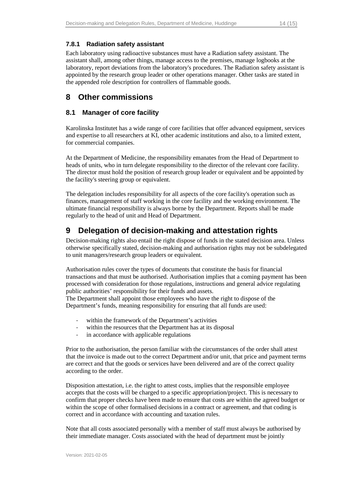### <span id="page-16-0"></span>**7.8.1 Radiation safety assistant**

Each laboratory using radioactive substances must have a Radiation safety assistant. The assistant shall, among other things, manage access to the premises, manage logbooks at the laboratory, report deviations from the laboratory's procedures. The Radiation safety assistant is appointed by the research group leader or other operations manager. Other tasks are stated in the appended role description for controllers of flammable goods.

# <span id="page-16-1"></span>**8 Other commissions**

# <span id="page-16-2"></span>**8.1 Manager of core facility**

Karolinska Institutet has a wide range of core facilities that offer advanced equipment, services and expertise to all researchers at KI, other academic institutions and also, to a limited extent, for commercial companies.

At the Department of Medicine, the responsibility emanates from the Head of Department to heads of units, who in turn delegate responsibility to the director of the relevant core facility. The director must hold the position of research group leader or equivalent and be appointed by the facility's steering group or equivalent.

The delegation includes responsibility for all aspects of the core facility's operation such as finances, management of staff working in the core facility and the working environment. The ultimate financial responsibility is always borne by the Department. Reports shall be made regularly to the head of unit and Head of Department.

# <span id="page-16-3"></span>**9 Delegation of decision-making and attestation rights**

Decision-making rights also entail the right dispose of funds in the stated decision area. Unless otherwise specifically stated, decision-making and authorisation rights may not be subdelegated to unit managers/research group leaders or equivalent.

Authorisation rules cover the types of documents that constitute the basis for financial transactions and that must be authorised. Authorisation implies that a coming payment has been processed with consideration for those regulations, instructions and general advice regulating public authorities' responsibility for their funds and assets.

The Department shall appoint those employees who have the right to dispose of the Department's funds, meaning responsibility for ensuring that all funds are used:

- within the framework of the Department's activities
- within the resources that the Department has at its disposal
- in accordance with applicable regulations

Prior to the authorisation, the person familiar with the circumstances of the order shall attest that the invoice is made out to the correct Department and/or unit, that price and payment terms are correct and that the goods or services have been delivered and are of the correct quality according to the order.

Disposition attestation, i.e. the right to attest costs, implies that the responsible employee accepts that the costs will be charged to a specific appropriation/project. This is necessary to confirm that proper checks have been made to ensure that costs are within the agreed budget or within the scope of other formalised decisions in a contract or agreement, and that coding is correct and in accordance with accounting and taxation rules.

Note that all costs associated personally with a member of staff must always be authorised by their immediate manager. Costs associated with the head of department must be jointly